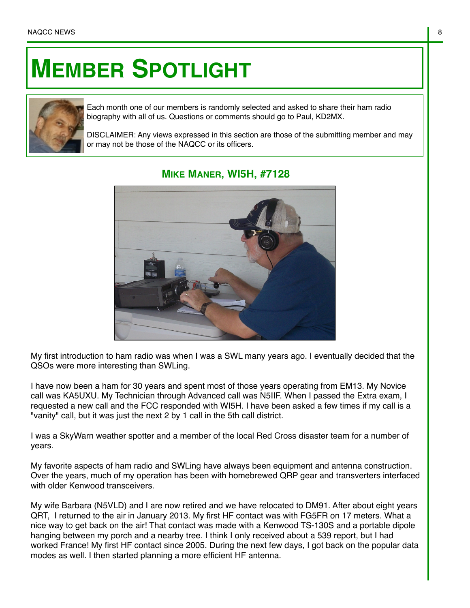## **MEMBER SPOTLIGHT**



Each month one of our members is randomly selected and asked to share their ham radio biography with all of us. Questions or comments should go to Paul, KD2MX.

DISCLAIMER: Any views expressed in this section are those of the submitting member and may or may not be those of the NAQCC or its officers.



## **MIKE MANER, WI5H, #7128**

My first introduction to ham radio was when I was a SWL many years ago. I eventually decided that the QSOs were more interesting than SWLing.

I have now been a ham for 30 years and spent most of those years operating from EM13. My Novice call was KA5UXU. My Technician through Advanced call was N5IIF. When I passed the Extra exam, I requested a new call and the FCC responded with WI5H. I have been asked a few times if my call is a "vanity" call, but it was just the next 2 by 1 call in the 5th call district.

I was a SkyWarn weather spotter and a member of the local Red Cross disaster team for a number of years.

My favorite aspects of ham radio and SWLing have always been equipment and antenna construction. Over the years, much of my operation has been with homebrewed QRP gear and transverters interfaced with older Kenwood transceivers.

My wife Barbara (N5VLD) and I are now retired and we have relocated to DM91. After about eight years QRT, I returned to the air in January 2013. My first HF contact was with FG5FR on 17 meters. What a nice way to get back on the air! That contact was made with a Kenwood TS-130S and a portable dipole hanging between my porch and a nearby tree. I think I only received about a 539 report, but I had worked France! My first HF contact since 2005. During the next few days, I got back on the popular data modes as well. I then started planning a more efficient HF antenna.